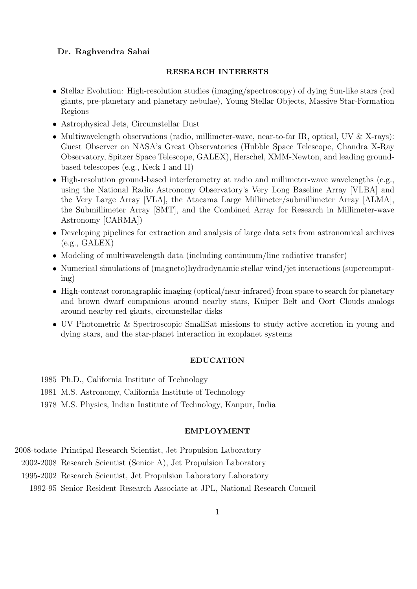# Dr. Raghvendra Sahai

### RESEARCH INTERESTS

- Stellar Evolution: High-resolution studies (imaging/spectroscopy) of dying Sun-like stars (red giants, pre-planetary and planetary nebulae), Young Stellar Objects, Massive Star-Formation Regions
- Astrophysical Jets, Circumstellar Dust
- Multiwavelength observations (radio, millimeter-wave, near-to-far IR, optical, UV  $&$  X-rays): Guest Observer on NASA's Great Observatories (Hubble Space Telescope, Chandra X-Ray Observatory, Spitzer Space Telescope, GALEX), Herschel, XMM-Newton, and leading groundbased telescopes (e.g., Keck I and II)
- High-resolution ground-based interferometry at radio and millimeter-wave wavelengths (e.g., using the National Radio Astronomy Observatory's Very Long Baseline Array [VLBA] and the Very Large Array [VLA], the Atacama Large Millimeter/submillimeter Array [ALMA], the Submillimeter Array [SMT], and the Combined Array for Research in Millimeter-wave Astronomy [CARMA])
- Developing pipelines for extraction and analysis of large data sets from astronomical archives (e.g., GALEX)
- Modeling of multiwavelength data (including continuum/line radiative transfer)
- Numerical simulations of (magneto)hydrodynamic stellar wind/jet interactions (supercomputing)
- High-contrast coronagraphic imaging (optical/near-infrared) from space to search for planetary and brown dwarf companions around nearby stars, Kuiper Belt and Oort Clouds analogs around nearby red giants, circumstellar disks
- UV Photometric & Spectroscopic SmallSat missions to study active accretion in young and dying stars, and the star-planet interaction in exoplanet systems

#### EDUCATION

- 1985 Ph.D., California Institute of Technology
- 1981 M.S. Astronomy, California Institute of Technology
- 1978 M.S. Physics, Indian Institute of Technology, Kanpur, India

### EMPLOYMENT

- 2008-todate Principal Research Scientist, Jet Propulsion Laboratory
	- 2002-2008 Research Scientist (Senior A), Jet Propulsion Laboratory
	- 1995-2002 Research Scientist, Jet Propulsion Laboratory Laboratory
		- 1992-95 Senior Resident Research Associate at JPL, National Research Council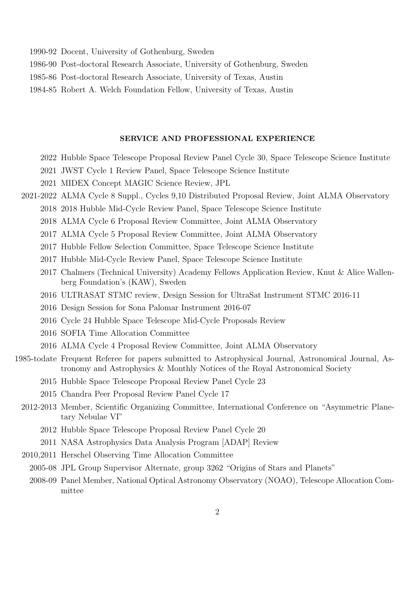- 1990-92 Docent, University of Gothenburg, Sweden
- 1986-90 Post-doctoral Research Associate, University of Gothenburg, Sweden
- 1985-86 Post-doctoral Research Associate, University of Texas, Austin
- 1984-85 Robert A. Welch Foundation Fellow, University of Texas, Austin

### SERVICE AND PROFESSIONAL EXPERIENCE

- 2022 Hubble Space Telescope Proposal Review Panel Cycle 30, Space Telescope Science Institute
- 2021 JWST Cycle 1 Review Panel, Space Telescope Science Institute
- 2021 MIDEX Concept MAGIC Science Review, JPL
- 2021-2022 ALMA Cycle 8 Suppl., Cycles 9,10 Distributed Proposal Review, Joint ALMA Observatory 2018 2018 Hubble Mid-Cycle Review Panel, Space Telescope Science Institute
	- 2018 ALMA Cycle 6 Proposal Review Committee, Joint ALMA Observatory
	- 2017 ALMA Cycle 5 Proposal Review Committee, Joint ALMA Observatory
	- 2017 Hubble Fellow Selection Committee, Space Telescope Science Institute
	- 2017 Hubble Mid-Cycle Review Panel, Space Telescope Science Institute
	- 2017 Chalmers (Technical University) Academy Fellows Application Review, Knut & Alice Wallenberg Foundation's (KAW), Sweden
	- 2016 ULTRASAT STMC review, Design Session for UltraSat Instrument STMC 2016-11
	- 2016 Design Session for Sona Palomar Instrument 2016-07
	- 2016 Cycle 24 Hubble Space Telescope Mid-Cycle Proposals Review
	- 2016 SOFIA Time Allocation Committee
	- 2016 ALMA Cycle 4 Proposal Review Committee, Joint ALMA Observatory
- 1985-todate Frequent Referee for papers submitted to Astrophysical Journal, Astronomical Journal, Astronomy and Astrophysics & Monthly Notices of the Royal Astronomical Society
	- 2015 Hubble Space Telescope Proposal Review Panel Cycle 23
	- 2015 Chandra Peer Proposal Review Panel Cycle 17
	- 2012-2013 Member, Scientific Organizing Committee, International Conference on "Asymmetric Planetary Nebulae VI"
		- 2012 Hubble Space Telescope Proposal Review Panel Cycle 20
		- 2011 NASA Astrophysics Data Analysis Program [ADAP] Review
	- 2010,2011 Herschel Observing Time Allocation Committee
		- 2005-08 JPL Group Supervisor Alternate, group 3262 "Origins of Stars and Planets"
		- 2008-09 Panel Member, National Optical Astronomy Observatory (NOAO), Telescope Allocation Committee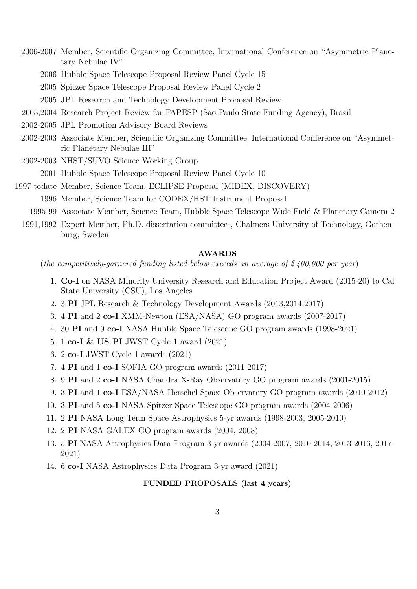2006-2007 Member, Scientific Organizing Committee, International Conference on "Asymmetric Planetary Nebulae IV"

- 2006 Hubble Space Telescope Proposal Review Panel Cycle 15
- 2005 Spitzer Space Telescope Proposal Review Panel Cycle 2
- 2005 JPL Research and Technology Development Proposal Review
- 2003,2004 Research Project Review for FAPESP (Sao Paulo State Funding Agency), Brazil
- 2002-2005 JPL Promotion Advisory Board Reviews
- 2002-2003 Associate Member, Scientific Organizing Committee, International Conference on "Asymmetric Planetary Nebulae III"
- 2002-2003 NHST/SUVO Science Working Group 2001 Hubble Space Telescope Proposal Review Panel Cycle 10
- 1997-todate Member, Science Team, ECLIPSE Proposal (MIDEX, DISCOVERY) 1996 Member, Science Team for CODEX/HST Instrument Proposal
	- 1995-99 Associate Member, Science Team, Hubble Space Telescope Wide Field & Planetary Camera 2
	- 1991,1992 Expert Member, Ph.D. dissertation committees, Chalmers University of Technology, Gothenburg, Sweden

#### AWARDS

(the competitively-garnered funding listed below exceeds an average of  $$400,000$  per year)

- 1. Co-I on NASA Minority University Research and Education Project Award (2015-20) to Cal State University (CSU), Los Angeles
- 2. 3 PI JPL Research & Technology Development Awards (2013,2014,2017)
- 3. 4 PI and 2 co-I XMM-Newton (ESA/NASA) GO program awards (2007-2017)
- 4. 30 PI and 9 co-I NASA Hubble Space Telescope GO program awards (1998-2021)
- 5. 1 co-I & US PI JWST Cycle 1 award (2021)
- 6. 2 co-I JWST Cycle 1 awards (2021)
- 7. 4 PI and 1 co-I SOFIA GO program awards (2011-2017)
- 8. 9 PI and 2 co-I NASA Chandra X-Ray Observatory GO program awards (2001-2015)
- 9. 3 PI and 1 co-I ESA/NASA Herschel Space Observatory GO program awards (2010-2012)
- 10. 3 PI and 5 co-I NASA Spitzer Space Telescope GO program awards (2004-2006)
- 11. 2 PI NASA Long Term Space Astrophysics 5-yr awards (1998-2003, 2005-2010)
- 12. 2 PI NASA GALEX GO program awards (2004, 2008)
- 13. 5 PI NASA Astrophysics Data Program 3-yr awards (2004-2007, 2010-2014, 2013-2016, 2017- 2021)
- 14. 6 co-I NASA Astrophysics Data Program 3-yr award (2021)

### FUNDED PROPOSALS (last 4 years)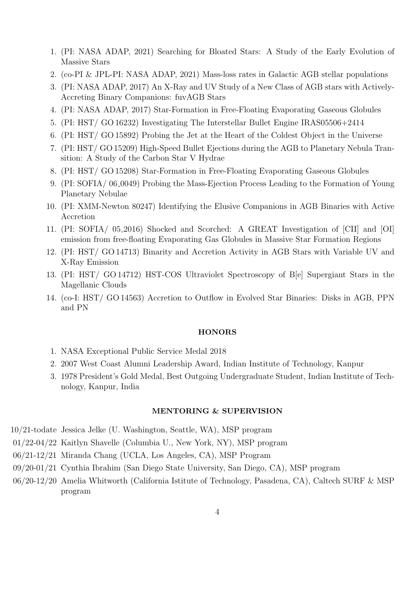- 1. (PI: NASA ADAP, 2021) Searching for Bloated Stars: A Study of the Early Evolution of Massive Stars
- 2. (co-PI & JPL-PI: NASA ADAP, 2021) Mass-loss rates in Galactic AGB stellar populations
- 3. (PI: NASA ADAP, 2017) An X-Ray and UV Study of a New Class of AGB stars with Actively-Accreting Binary Companions: fuvAGB Stars
- 4. (PI: NASA ADAP, 2017) Star-Formation in Free-Floating Evaporating Gaseous Globules
- 5. (PI: HST/ GO 16232) Investigating The Interstellar Bullet Engine IRAS05506+2414
- 6. (PI: HST/ GO 15892) Probing the Jet at the Heart of the Coldest Object in the Universe
- 7. (PI: HST/ GO 15209) High-Speed Bullet Ejections during the AGB to Planetary Nebula Transition: A Study of the Carbon Star V Hydrae
- 8. (PI: HST/ GO 15208) Star-Formation in Free-Floating Evaporating Gaseous Globules
- 9. (PI: SOFIA/ 06 0049) Probing the Mass-Ejection Process Leading to the Formation of Young Planetary Nebulae
- 10. (PI: XMM-Newton 80247) Identifying the Elusive Companions in AGB Binaries with Active Accretion
- 11. (PI: SOFIA/ 05 2016) Shocked and Scorched: A GREAT Investigation of [CII] and [OI] emission from free-floating Evaporating Gas Globules in Massive Star Formation Regions
- 12. (PI: HST/ GO 14713) Binarity and Accretion Activity in AGB Stars with Variable UV and X-Ray Emission
- 13. (PI: HST/ GO 14712) HST-COS Ultraviolet Spectroscopy of B[e] Supergiant Stars in the Magellanic Clouds
- 14. (co-I: HST/ GO 14563) Accretion to Outflow in Evolved Star Binaries: Disks in AGB, PPN and PN

### HONORS

- 1. NASA Exceptional Public Service Medal 2018
- 2. 2007 West Coast Alumni Leadership Award, Indian Institute of Technology, Kanpur
- 3. 1978 President's Gold Medal, Best Outgoing Undergraduate Student, Indian Institute of Technology, Kanpur, India

## MENTORING & SUPERVISION

- 10/21-todate Jessica Jelke (U. Washington, Seattle, WA), MSP program
- 01/22-04/22 Kaitlyn Shavelle (Columbia U., New York, NY), MSP program
- 06/21-12/21 Miranda Chang (UCLA, Los Angeles, CA), MSP Program
- 09/20-01/21 Cynthia Ibrahim (San Diego State University, San Diego, CA), MSP program
- 06/20-12/20 Amelia Whitworth (California Istitute of Technology, Pasadena, CA), Caltech SURF & MSP program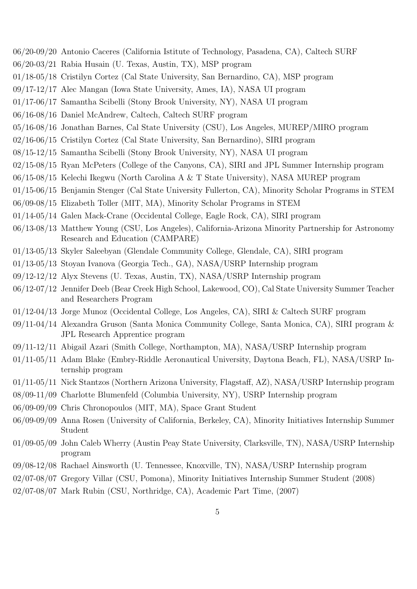- 06/20-09/20 Antonio Caceres (California Istitute of Technology, Pasadena, CA), Caltech SURF
- 06/20-03/21 Rabia Husain (U. Texas, Austin, TX), MSP program
- 01/18-05/18 Cristilyn Cortez (Cal State University, San Bernardino, CA), MSP program
- 09/17-12/17 Alec Mangan (Iowa State University, Ames, IA), NASA UI program
- 01/17-06/17 Samantha Scibelli (Stony Brook University, NY), NASA UI program
- 06/16-08/16 Daniel McAndrew, Caltech, Caltech SURF program
- 05/16-08/16 Jonathan Barnes, Cal State University (CSU), Los Angeles, MUREP/MIRO program
- 02/16-06/15 Cristilyn Cortez (Cal State University, San Bernardino), SIRI program
- 08/15-12/15 Samantha Scibelli (Stony Brook University, NY), NASA UI program
- 02/15-08/15 Ryan McPeters (College of the Canyons, CA), SIRI and JPL Summer Internship program
- 06/15-08/15 Kelechi Ikegwu (North Carolina A & T State University), NASA MUREP program
- 01/15-06/15 Benjamin Stenger (Cal State University Fullerton, CA), Minority Scholar Programs in STEM
- 06/09-08/15 Elizabeth Toller (MIT, MA), Minority Scholar Programs in STEM
- 01/14-05/14 Galen Mack-Crane (Occidental College, Eagle Rock, CA), SIRI program
- 06/13-08/13 Matthew Young (CSU, Los Angeles), California-Arizona Minority Partnership for Astronomy Research and Education (CAMPARE)
- 01/13-05/13 Skyler Saleebyan (Glendale Community College, Glendale, CA), SIRI program
- 01/13-05/13 Stoyan Ivanova (Georgia Tech., GA), NASA/USRP Internship program
- 09/12-12/12 Alyx Stevens (U. Texas, Austin, TX), NASA/USRP Internship program
- 06/12-07/12 Jennifer Deeb (Bear Creek High School, Lakewood, CO), Cal State University Summer Teacher and Researchers Program
- 01/12-04/13 Jorge Munoz (Occidental College, Los Angeles, CA), SIRI & Caltech SURF program
- 09/11-04/14 Alexandra Gruson (Santa Monica Community College, Santa Monica, CA), SIRI program & JPL Research Apprentice program
- 09/11-12/11 Abigail Azari (Smith College, Northampton, MA), NASA/USRP Internship program
- 01/11-05/11 Adam Blake (Embry-Riddle Aeronautical University, Daytona Beach, FL), NASA/USRP Internship program
- 01/11-05/11 Nick Stantzos (Northern Arizona University, Flagstaff, AZ), NASA/USRP Internship program
- 08/09-11/09 Charlotte Blumenfeld (Columbia University, NY), USRP Internship program
- 06/09-09/09 Chris Chronopoulos (MIT, MA), Space Grant Student
- 06/09-09/09 Anna Rosen (University of California, Berkeley, CA), Minority Initiatives Internship Summer Student
- 01/09-05/09 John Caleb Wherry (Austin Peay State University, Clarksville, TN), NASA/USRP Internship program
- 09/08-12/08 Rachael Ainsworth (U. Tennessee, Knoxville, TN), NASA/USRP Internship program
- 02/07-08/07 Gregory Villar (CSU, Pomona), Minority Initiatives Internship Summer Student (2008)
- 02/07-08/07 Mark Rubin (CSU, Northridge, CA), Academic Part Time, (2007)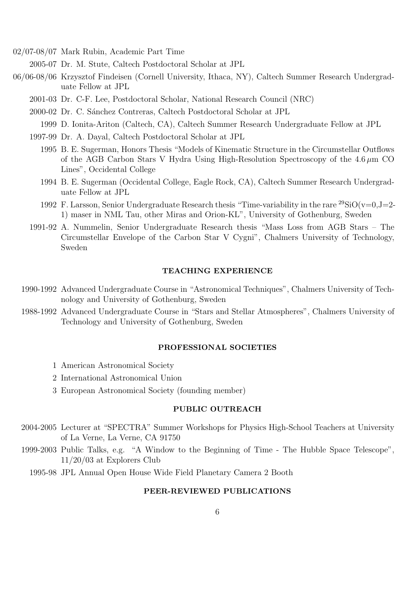02/07-08/07 Mark Rubin, Academic Part Time

2005-07 Dr. M. Stute, Caltech Postdoctoral Scholar at JPL

- 06/06-08/06 Krzysztof Findeisen (Cornell University, Ithaca, NY), Caltech Summer Research Undergraduate Fellow at JPL
	- 2001-03 Dr. C-F. Lee, Postdoctoral Scholar, National Research Council (NRC)
	- 2000-02 Dr. C. S´anchez Contreras, Caltech Postdoctoral Scholar at JPL
		- 1999 D. Ionita-Ariton (Caltech, CA), Caltech Summer Research Undergraduate Fellow at JPL
	- 1997-99 Dr. A. Dayal, Caltech Postdoctoral Scholar at JPL
		- 1995 B. E. Sugerman, Honors Thesis "Models of Kinematic Structure in the Circumstellar Outflows of the AGB Carbon Stars V Hydra Using High-Resolution Spectroscopy of the  $4.6 \mu m$  CO Lines", Occidental College
		- 1994 B. E. Sugerman (Occidental College, Eagle Rock, CA), Caltech Summer Research Undergraduate Fellow at JPL
		- 1992 F. Larsson, Senior Undergraduate Research thesis "Time-variability in the rare  $^{29}SiO(v=0,J=2-$ 1) maser in NML Tau, other Miras and Orion-KL", University of Gothenburg, Sweden
	- 1991-92 A. Nummelin, Senior Undergraduate Research thesis "Mass Loss from AGB Stars The Circumstellar Envelope of the Carbon Star V Cygni", Chalmers University of Technology, Sweden

# TEACHING EXPERIENCE

- 1990-1992 Advanced Undergraduate Course in "Astronomical Techniques", Chalmers University of Technology and University of Gothenburg, Sweden
- 1988-1992 Advanced Undergraduate Course in "Stars and Stellar Atmospheres", Chalmers University of Technology and University of Gothenburg, Sweden

#### PROFESSIONAL SOCIETIES

- 1 American Astronomical Society
- 2 International Astronomical Union
- 3 European Astronomical Society (founding member)

# PUBLIC OUTREACH

- 2004-2005 Lecturer at "SPECTRA" Summer Workshops for Physics High-School Teachers at University of La Verne, La Verne, CA 91750
- 1999-2003 Public Talks, e.g. "A Window to the Beginning of Time The Hubble Space Telescope", 11/20/03 at Explorers Club
	- 1995-98 JPL Annual Open House Wide Field Planetary Camera 2 Booth

## PEER-REVIEWED PUBLICATIONS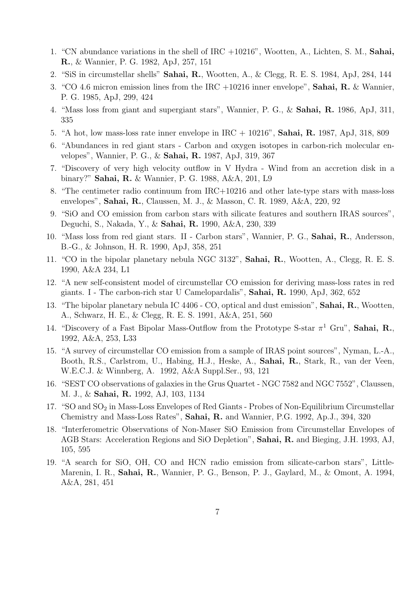- 1. "CN abundance variations in the shell of IRC +10216", Wootten, A., Lichten, S. M., Sahai, R., & Wannier, P. G. 1982, ApJ, 257, 151
- 2. "SiS in circumstellar shells" Sahai, R., Wootten, A., & Clegg, R. E. S. 1984, ApJ, 284, 144
- 3. "CO 4.6 micron emission lines from the IRC +10216 inner envelope", Sahai, R. & Wannier, P. G. 1985, ApJ, 299, 424
- 4. "Mass loss from giant and supergiant stars", Wannier, P. G., & Sahai, R. 1986, ApJ, 311, 335
- 5. "A hot, low mass-loss rate inner envelope in IRC + 10216", Sahai, R. 1987, ApJ, 318, 809
- 6. "Abundances in red giant stars Carbon and oxygen isotopes in carbon-rich molecular envelopes", Wannier, P. G., & Sahai, R. 1987, ApJ, 319, 367
- 7. "Discovery of very high velocity outflow in V Hydra Wind from an accretion disk in a binary?" Sahai, R. & Wannier, P. G. 1988, A&A, 201, L9
- 8. "The centimeter radio continuum from IRC+10216 and other late-type stars with mass-loss envelopes", Sahai, R., Claussen, M. J., & Masson, C. R. 1989, A&A, 220, 92
- 9. "SiO and CO emission from carbon stars with silicate features and southern IRAS sources", Deguchi, S., Nakada, Y., & Sahai, R. 1990, A&A, 230, 339
- 10. "Mass loss from red giant stars. II Carbon stars", Wannier, P. G., Sahai, R., Andersson, B.-G., & Johnson, H. R. 1990, ApJ, 358, 251
- 11. "CO in the bipolar planetary nebula NGC 3132", Sahai, R., Wootten, A., Clegg, R. E. S. 1990, A&A 234, L1
- 12. "A new self-consistent model of circumstellar CO emission for deriving mass-loss rates in red giants. I - The carbon-rich star U Camelopardalis", Sahai, R. 1990, ApJ, 362, 652
- 13. "The bipolar planetary nebula IC 4406 CO, optical and dust emission", Sahai, R., Wootten, A., Schwarz, H. E., & Clegg, R. E. S. 1991, A&A, 251, 560
- 14. "Discovery of a Fast Bipolar Mass-Outflow from the Prototype S-star  $\pi^1$  Gru", Sahai, R., 1992, A&A, 253, L33
- 15. "A survey of circumstellar CO emission from a sample of IRAS point sources", Nyman, L.-A., Booth, R.S., Carlstrom, U., Habing, H.J., Heske, A., Sahai, R., Stark, R., van der Veen, W.E.C.J. & Winnberg, A. 1992, A&A Suppl.Ser., 93, 121
- 16. "SEST CO observations of galaxies in the Grus Quartet NGC 7582 and NGC 7552", Claussen, M. J., & Sahai, R. 1992, AJ, 103, 1134
- 17. "SO and SO<sub>2</sub> in Mass-Loss Envelopes of Red Giants Probes of Non-Equilibrium Circumstellar Chemistry and Mass-Loss Rates", Sahai, R. and Wannier, P.G. 1992, Ap.J., 394, 320
- 18. "Interferometric Observations of Non-Maser SiO Emission from Circumstellar Envelopes of AGB Stars: Acceleration Regions and SiO Depletion", Sahai, R. and Bieging, J.H. 1993, AJ, 105, 595
- 19. "A search for SiO, OH, CO and HCN radio emission from silicate-carbon stars", Little-Marenin, I. R., Sahai, R., Wannier, P. G., Benson, P. J., Gaylard, M., & Omont, A. 1994, A&A, 281, 451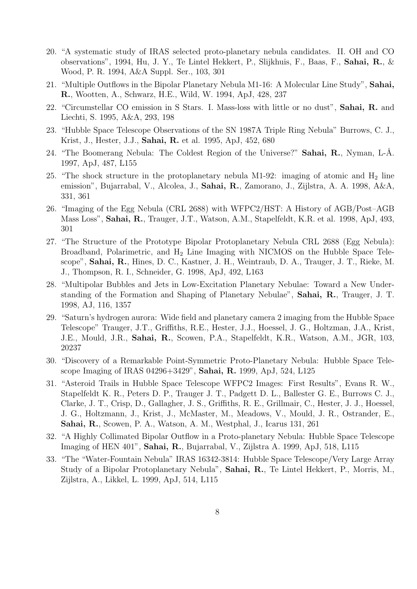- 20. "A systematic study of IRAS selected proto-planetary nebula candidates. II. OH and CO observations", 1994, Hu, J. Y., Te Lintel Hekkert, P., Slijkhuis, F., Baas, F., Sahai, R., & Wood, P. R. 1994, A&A Suppl. Ser., 103, 301
- 21. "Multiple Outflows in the Bipolar Planetary Nebula M1-16: A Molecular Line Study", Sahai, R., Wootten, A., Schwarz, H.E., Wild, W. 1994, ApJ, 428, 237
- 22. "Circumstellar CO emission in S Stars. I. Mass-loss with little or no dust", Sahai, R. and Liechti, S. 1995, A&A, 293, 198
- 23. "Hubble Space Telescope Observations of the SN 1987A Triple Ring Nebula" Burrows, C. J., Krist, J., Hester, J.J., Sahai, R. et al. 1995, ApJ, 452, 680
- 24. "The Boomerang Nebula: The Coldest Region of the Universe?" **Sahai, R.**, Nyman, L-A. 1997, ApJ, 487, L155
- 25. "The shock structure in the protoplanetary nebula M1-92: imaging of atomic and  $H_2$  line emission", Bujarrabal, V., Alcolea, J., Sahai, R., Zamorano, J., Zijlstra, A. A. 1998, A&A, 331, 361
- 26. "Imaging of the Egg Nebula (CRL 2688) with WFPC2/HST: A History of AGB/Post–AGB Mass Loss", Sahai, R., Trauger, J.T., Watson, A.M., Stapelfeldt, K.R. et al. 1998, ApJ, 493, 301
- 27. "The Structure of the Prototype Bipolar Protoplanetary Nebula CRL 2688 (Egg Nebula): Broadband, Polarimetric, and H<sub>2</sub> Line Imaging with NICMOS on the Hubble Space Telescope", Sahai, R., Hines, D. C., Kastner, J. H., Weintraub, D. A., Trauger, J. T., Rieke, M. J., Thompson, R. I., Schneider, G. 1998, ApJ, 492, L163
- 28. "Multipolar Bubbles and Jets in Low-Excitation Planetary Nebulae: Toward a New Understanding of the Formation and Shaping of Planetary Nebulae", Sahai, R., Trauger, J. T. 1998, AJ, 116, 1357
- 29. "Saturn's hydrogen aurora: Wide field and planetary camera 2 imaging from the Hubble Space Telescope" Trauger, J.T., Griffiths, R.E., Hester, J.J., Hoessel, J. G., Holtzman, J.A., Krist, J.E., Mould, J.R., Sahai, R., Scowen, P.A., Stapelfeldt, K.R., Watson, A.M., JGR, 103, 20237
- 30. "Discovery of a Remarkable Point-Symmetric Proto-Planetary Nebula: Hubble Space Telescope Imaging of IRAS 04296+3429", Sahai, R. 1999, ApJ, 524, L125
- 31. "Asteroid Trails in Hubble Space Telescope WFPC2 Images: First Results", Evans R. W., Stapelfeldt K. R., Peters D. P., Trauger J. T., Padgett D. L., Ballester G. E., Burrows C. J., Clarke, J. T., Crisp, D., Gallagher, J. S., Griffiths, R. E., Grillmair, C., Hester, J. J., Hoessel, J. G., Holtzmann, J., Krist, J., McMaster, M., Meadows, V., Mould, J. R., Ostrander, E., Sahai, R., Scowen, P. A., Watson, A. M., Westphal, J., Icarus 131, 261
- 32. "A Highly Collimated Bipolar Outflow in a Proto-planetary Nebula: Hubble Space Telescope Imaging of HEN 401", Sahai, R., Bujarrabal, V., Zijlstra A. 1999, ApJ, 518, L115
- 33. "The "Water-Fountain Nebula" IRAS 16342-3814: Hubble Space Telescope/Very Large Array Study of a Bipolar Protoplanetary Nebula", Sahai, R., Te Lintel Hekkert, P., Morris, M., Zijlstra, A., Likkel, L. 1999, ApJ, 514, L115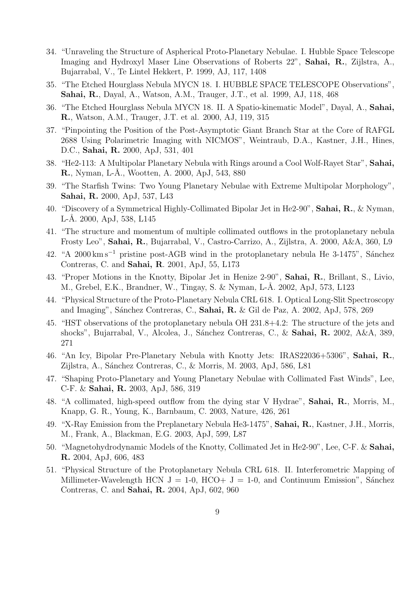- 34. "Unraveling the Structure of Aspherical Proto-Planetary Nebulae. I. Hubble Space Telescope Imaging and Hydroxyl Maser Line Observations of Roberts 22", Sahai, R., Zijlstra, A., Bujarrabal, V., Te Lintel Hekkert, P. 1999, AJ, 117, 1408
- 35. "The Etched Hourglass Nebula MYCN 18. I. HUBBLE SPACE TELESCOPE Observations", Sahai, R., Dayal, A., Watson, A.M., Trauger, J.T., et al. 1999, AJ, 118, 468
- 36. "The Etched Hourglass Nebula MYCN 18. II. A Spatio-kinematic Model", Dayal, A., Sahai, R., Watson, A.M., Trauger, J.T. et al. 2000, AJ, 119, 315
- 37. "Pinpointing the Position of the Post-Asymptotic Giant Branch Star at the Core of RAFGL 2688 Using Polarimetric Imaging with NICMOS", Weintraub, D.A., Kastner, J.H., Hines, D.C., Sahai, R. 2000, ApJ, 531, 401
- 38. "He2-113: A Multipolar Planetary Nebula with Rings around a Cool Wolf-Rayet Star", Sahai, R., Nyman, L-Å., Wootten, A. 2000, ApJ, 543, 880
- 39. "The Starfish Twins: Two Young Planetary Nebulae with Extreme Multipolar Morphology", Sahai, R. 2000, ApJ, 537, L43
- 40. "Discovery of a Symmetrical Highly-Collimated Bipolar Jet in He2-90", Sahai, R., & Nyman, L-Å. 2000, ApJ, 538, L145
- 41. "The structure and momentum of multiple collimated outflows in the protoplanetary nebula Frosty Leo", Sahai, R., Bujarrabal, V., Castro-Carrizo, A., Zijlstra, A. 2000, A&A, 360, L9
- 42. "A 2000 km s<sup>-1</sup> pristine post-AGB wind in the protoplanetary nebula He 3-1475", Sánchez Contreras, C. and Sahai, R. 2001, ApJ, 55, L173
- 43. "Proper Motions in the Knotty, Bipolar Jet in Henize 2-90", Sahai, R., Brillant, S., Livio, M., Grebel, E.K., Brandner, W., Tingay, S. & Nyman, L-Å. 2002, ApJ, 573, L123
- 44. "Physical Structure of the Proto-Planetary Nebula CRL 618. I. Optical Long-Slit Spectroscopy and Imaging", Sánchez Contreras, C., Sahai, R. & Gil de Paz, A.  $2002$ , ApJ, 578, 269
- 45. "HST observations of the protoplanetary nebula OH 231.8+4.2: The structure of the jets and shocks", Bujarrabal, V., Alcolea, J., Sánchez Contreras, C., & Sahai, R. 2002, A&A, 389, 271
- 46. "An Icy, Bipolar Pre-Planetary Nebula with Knotty Jets: IRAS22036+5306", Sahai, R., Zijlstra, A., Sánchez Contreras, C., & Morris, M. 2003, ApJ, 586, L81
- 47. "Shaping Proto-Planetary and Young Planetary Nebulae with Collimated Fast Winds", Lee, C-F. & Sahai, R. 2003, ApJ, 586, 319
- 48. "A collimated, high-speed outflow from the dying star V Hydrae", Sahai, R., Morris, M., Knapp, G. R., Young, K., Barnbaum, C. 2003, Nature, 426, 261
- 49. "X-Ray Emission from the Preplanetary Nebula He3-1475", Sahai, R., Kastner, J.H., Morris, M., Frank, A., Blackman, E.G. 2003, ApJ, 599, L87
- 50. "Magnetohydrodynamic Models of the Knotty, Collimated Jet in He2-90", Lee, C-F. & Sahai, R. 2004, ApJ, 606, 483
- 51. "Physical Structure of the Protoplanetary Nebula CRL 618. II. Interferometric Mapping of Millimeter-Wavelength HCN  $J = 1-0$ , HCO+  $J = 1-0$ , and Continuum Emission", Sánchez Contreras, C. and Sahai, R. 2004, ApJ, 602, 960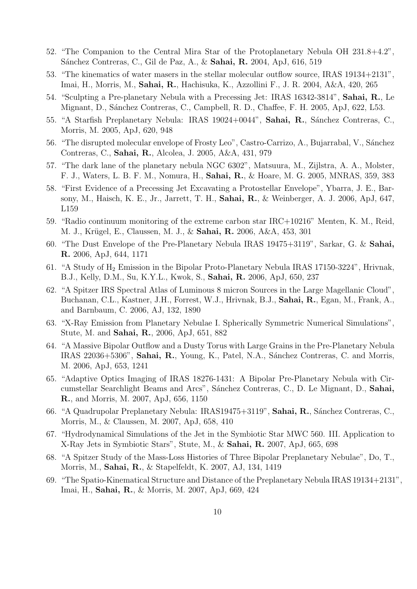- 52. "The Companion to the Central Mira Star of the Protoplanetary Nebula OH 231.8+4.2", Sánchez Contreras, C., Gil de Paz, A., & Sahai, R. 2004, ApJ, 616, 519
- 53. "The kinematics of water masers in the stellar molecular outflow source, IRAS 19134+2131", Imai, H., Morris, M., Sahai, R., Hachisuka, K., Azzollini F., J. R. 2004, A&A, 420, 265
- 54. "Sculpting a Pre-planetary Nebula with a Precessing Jet: IRAS 16342-3814", Sahai, R., Le Mignant, D., Sánchez Contreras, C., Campbell, R. D., Chaffee, F. H. 2005, ApJ, 622, L53.
- 55. "A Starfish Preplanetary Nebula: IRAS 19024+0044", Sahai, R., Sánchez Contreras, C., Morris, M. 2005, ApJ, 620, 948
- 56. "The disrupted molecular envelope of Frosty Leo", Castro-Carrizo, A., Bujarrabal, V., Sánchez Contreras, C., Sahai, R., Alcolea, J. 2005, A&A, 431, 979
- 57. "The dark lane of the planetary nebula NGC 6302", Matsuura, M., Zijlstra, A. A., Molster, F. J., Waters, L. B. F. M., Nomura, H., Sahai, R., & Hoare, M. G. 2005, MNRAS, 359, 383
- 58. "First Evidence of a Precessing Jet Excavating a Protostellar Envelope", Ybarra, J. E., Barsony, M., Haisch, K. E., Jr., Jarrett, T. H., Sahai, R., & Weinberger, A. J. 2006, ApJ, 647, L159
- 59. "Radio continuum monitoring of the extreme carbon star IRC+10216" Menten, K. M., Reid, M. J., Krügel, E., Claussen, M. J., & Sahai, R. 2006, A&A, 453, 301
- 60. "The Dust Envelope of the Pre-Planetary Nebula IRAS 19475+3119", Sarkar, G. & Sahai, R. 2006, ApJ, 644, 1171
- 61. "A Study of H<sup>2</sup> Emission in the Bipolar Proto-Planetary Nebula IRAS 17150-3224", Hrivnak, B.J., Kelly, D.M., Su, K.Y.L., Kwok, S., Sahai, R. 2006, ApJ, 650, 237
- 62. "A Spitzer IRS Spectral Atlas of Luminous 8 micron Sources in the Large Magellanic Cloud", Buchanan, C.L., Kastner, J.H., Forrest, W.J., Hrivnak, B.J., Sahai, R., Egan, M., Frank, A., and Barnbaum, C. 2006, AJ, 132, 1890
- 63. "X-Ray Emission from Planetary Nebulae I. Spherically Symmetric Numerical Simulations", Stute, M. and Sahai, R., 2006, ApJ, 651, 882
- 64. "A Massive Bipolar Outflow and a Dusty Torus with Large Grains in the Pre-Planetary Nebula IRAS 22036+5306", Sahai, R., Young, K., Patel, N.A., Sánchez Contreras, C. and Morris, M. 2006, ApJ, 653, 1241
- 65. "Adaptive Optics Imaging of IRAS 18276-1431: A Bipolar Pre-Planetary Nebula with Circumstellar Searchlight Beams and Arcs", Sánchez Contreras, C., D. Le Mignant, D., Sahai, R., and Morris, M. 2007, ApJ, 656, 1150
- 66. "A Quadrupolar Preplanetary Nebula: IRAS19475+3119", Sahai, R., Sánchez Contreras, C., Morris, M., & Claussen, M. 2007, ApJ, 658, 410
- 67. "Hydrodynamical Simulations of the Jet in the Symbiotic Star MWC 560. III. Application to X-Ray Jets in Symbiotic Stars", Stute, M., & Sahai, R. 2007, ApJ, 665, 698
- 68. "A Spitzer Study of the Mass-Loss Histories of Three Bipolar Preplanetary Nebulae", Do, T., Morris, M., Sahai, R., & Stapelfeldt, K. 2007, AJ, 134, 1419
- 69. "The Spatio-Kinematical Structure and Distance of the Preplanetary Nebula IRAS 19134+2131", Imai, H., Sahai, R., & Morris, M. 2007, ApJ, 669, 424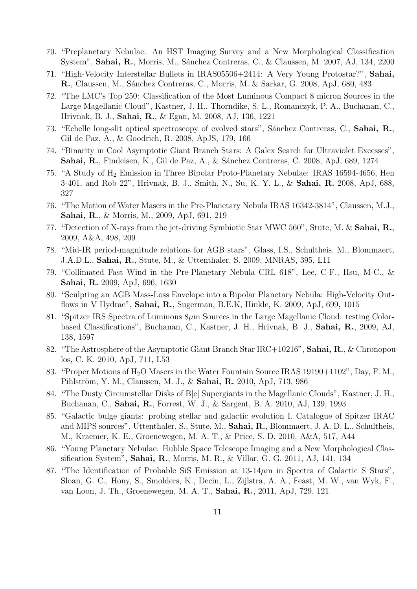- 70. "Preplanetary Nebulae: An HST Imaging Survey and a New Morphological Classification System", Sahai, R., Morris, M., Sánchez Contreras, C., & Claussen, M. 2007, AJ, 134, 2200
- 71. "High-Velocity Interstellar Bullets in IRAS05506+2414: A Very Young Protostar?", Sahai, R., Claussen, M., Sánchez Contreras, C., Morris, M. & Sarkar, G. 2008, ApJ, 680, 483
- 72. "The LMC's Top 250: Classification of the Most Luminous Compact 8 micron Sources in the Large Magellanic Cloud", Kastner, J. H., Thorndike, S. L., Romanczyk, P. A., Buchanan, C., Hrivnak, B. J., Sahai, R., & Egan, M. 2008, AJ, 136, 1221
- 73. "Echelle long-slit optical spectroscopy of evolved stars", Sánchez Contreras, C., **Sahai, R.**, Gil de Paz, A., & Goodrich, R. 2008, ApJS, 179, 166
- 74. "Binarity in Cool Asymptotic Giant Branch Stars: A Galex Search for Ultraviolet Excesses", Sahai, R., Findeisen, K., Gil de Paz, A., & Sánchez Contreras, C. 2008, ApJ, 689, 1274
- 75. "A Study of H<sup>2</sup> Emission in Three Bipolar Proto-Planetary Nebulae: IRAS 16594-4656, Hen 3-401, and Rob 22", Hrivnak, B. J., Smith, N., Su, K. Y. L., & Sahai, R. 2008, ApJ, 688, 327
- 76. "The Motion of Water Masers in the Pre-Planetary Nebula IRAS 16342-3814", Claussen, M.J., Sahai, R., & Morris, M., 2009, ApJ, 691, 219
- 77. "Detection of X-rays from the jet-driving Symbiotic Star MWC 560", Stute, M. & Sahai, R., 2009, A&A, 498, 209
- 78. "Mid-IR period-magnitude relations for AGB stars", Glass, I.S., Schultheis, M., Blommaert, J.A.D.L., Sahai, R., Stute, M., & Uttenthaler, S. 2009, MNRAS, 395, L11
- 79. "Collimated Fast Wind in the Pre-Planetary Nebula CRL 618", Lee, C-F., Hsu, M-C., & Sahai, R. 2009, ApJ, 696, 1630
- 80. "Sculpting an AGB Mass-Loss Envelope into a Bipolar Planetary Nebula: High-Velocity Outflows in V Hydrae", Sahai, R., Sugerman, B.E.K, Hinkle, K. 2009, ApJ, 699, 1015
- 81. "Spitzer IRS Spectra of Luminous  $8\mu$ m Sources in the Large Magellanic Cloud: testing Colorbased Classifications", Buchanan, C., Kastner, J. H., Hrivnak, B. J., Sahai, R., 2009, AJ, 138, 1597
- 82. "The Astrosphere of the Asymptotic Giant Branch Star IRC+10216", **Sahai, R.**, & Chronopoulos, C. K. 2010, ApJ, 711, L53
- 83. "Proper Motions of  $H_2O$  Masers in the Water Fountain Source IRAS 19190+1102", Day, F. M., Pihlström, Y. M., Claussen, M. J., & Sahai, R. 2010, ApJ, 713, 986
- 84. "The Dusty Circumstellar Disks of B[e] Supergiants in the Magellanic Clouds", Kastner, J. H., Buchanan, C., Sahai, R., Forrest, W. J., & Sargent, B. A. 2010, AJ, 139, 1993
- 85. "Galactic bulge giants: probing stellar and galactic evolution I. Catalogue of Spitzer IRAC and MIPS sources", Uttenthaler, S., Stute, M., Sahai, R., Blommaert, J. A. D. L., Schultheis, M., Kraemer, K. E., Groenewegen, M. A. T., & Price, S. D. 2010, A&A, 517, A44
- 86. "Young Planetary Nebulae: Hubble Space Telescope Imaging and a New Morphological Classification System", Sahai, R., Morris, M. R., & Villar, G. G. 2011, AJ, 141, 134
- 87. "The Identification of Probable SiS Emission at 13-14µm in Spectra of Galactic S Stars", Sloan, G. C., Hony, S., Smolders, K., Decin, L., Zijlstra, A. A., Feast, M. W., van Wyk, F., van Loon, J. Th., Groenewegen, M. A. T., Sahai, R., 2011, ApJ, 729, 121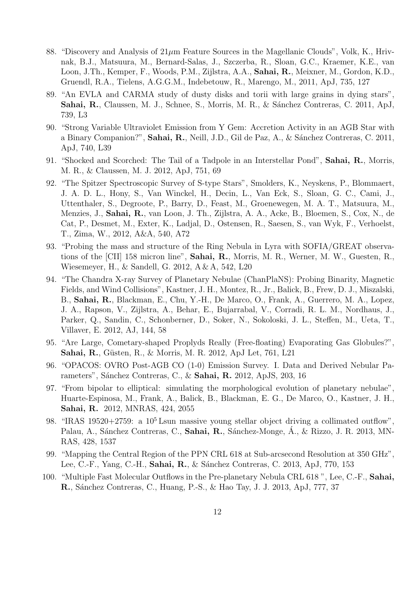- 88. "Discovery and Analysis of  $21\mu$ m Feature Sources in the Magellanic Clouds", Volk, K., Hrivnak, B.J., Matsuura, M., Bernard-Salas, J., Szczerba, R., Sloan, G.C., Kraemer, K.E., van Loon, J.Th., Kemper, F., Woods, P.M., Zijlstra, A.A., Sahai, R., Meixner, M., Gordon, K.D., Gruendl, R.A., Tielens, A.G.G.M., Indebetouw, R., Marengo, M., 2011, ApJ, 735, 127
- 89. "An EVLA and CARMA study of dusty disks and torii with large grains in dying stars", Sahai, R., Claussen, M. J., Schnee, S., Morris, M. R., & Sánchez Contreras, C. 2011, ApJ, 739, L3
- 90. "Strong Variable Ultraviolet Emission from Y Gem: Accretion Activity in an AGB Star with a Binary Companion?", Sahai, R., Neill, J.D., Gil de Paz, A., & Sánchez Contreras, C. 2011, ApJ, 740, L39
- 91. "Shocked and Scorched: The Tail of a Tadpole in an Interstellar Pond", Sahai, R., Morris, M. R., & Claussen, M. J. 2012, ApJ, 751, 69
- 92. "The Spitzer Spectroscopic Survey of S-type Stars", Smolders, K., Neyskens, P., Blommaert, J. A. D. L., Hony, S., Van Winckel, H., Decin, L., Van Eck, S., Sloan, G. C., Cami, J., Uttenthaler, S., Degroote, P., Barry, D., Feast, M., Groenewegen, M. A. T., Matsuura, M., Menzies, J., Sahai, R., van Loon, J. Th., Zijlstra, A. A., Acke, B., Bloemen, S., Cox, N., de Cat, P., Desmet, M., Exter, K., Ladjal, D., Ostensen, R., Saesen, S., van Wyk, F., Verhoelst, T., Zima, W., 2012, A&A, 540, A72
- 93. "Probing the mass and structure of the Ring Nebula in Lyra with SOFIA/GREAT observations of the [CII] 158 micron line", Sahai, R., Morris, M. R., Werner, M. W., Guesten, R., Wiesemeyer, H., & Sandell, G. 2012, A & A, 542, L20
- 94. "The Chandra X-ray Survey of Planetary Nebulae (ChanPlaNS): Probing Binarity, Magnetic Fields, and Wind Collisions", Kastner, J. H., Montez, R., Jr., Balick, B., Frew, D. J., Miszalski, B., Sahai, R., Blackman, E., Chu, Y.-H., De Marco, O., Frank, A., Guerrero, M. A., Lopez, J. A., Rapson, V., Zijlstra, A., Behar, E., Bujarrabal, V., Corradi, R. L. M., Nordhaus, J., Parker, Q., Sandin, C., Schonberner, D., Soker, N., Sokoloski, J. L., Steffen, M., Ueta, T., Villaver, E. 2012, AJ, 144, 58
- 95. "Are Large, Cometary-shaped Proplyds Really (Free-floating) Evaporating Gas Globules?", **Sahai, R.**, Güsten, R., & Morris, M. R. 2012, ApJ Let, 761, L21
- 96. "OPACOS: OVRO Post-AGB CO (1-0) Emission Survey. I. Data and Derived Nebular Parameters", Sánchez Contreras, C., & Sahai, R. 2012, ApJS, 203, 16
- 97. "From bipolar to elliptical: simulating the morphological evolution of planetary nebulae", Huarte-Espinosa, M., Frank, A., Balick, B., Blackman, E. G., De Marco, O., Kastner, J. H., Sahai, R. 2012, MNRAS, 424, 2055
- 98. "IRAS 19520+2759: a  $10^5$  Lsun massive young stellar object driving a collimated outflow". Palau, A., Sánchez Contreras, C., Sahai, R., Sánchez-Monge, Á., & Rizzo, J. R. 2013, MN-RAS, 428, 1537
- 99. "Mapping the Central Region of the PPN CRL 618 at Sub-arcsecond Resolution at 350 GHz", Lee, C.-F., Yang, C.-H., Sahai, R., & Sánchez Contreras, C. 2013, ApJ, 770, 153
- 100. "Multiple Fast Molecular Outflows in the Pre-planetary Nebula CRL 618 ", Lee, C.-F., Sahai, **R.**, Sánchez Contreras, C., Huang, P.-S., & Hao Tay, J. J. 2013, ApJ, 777, 37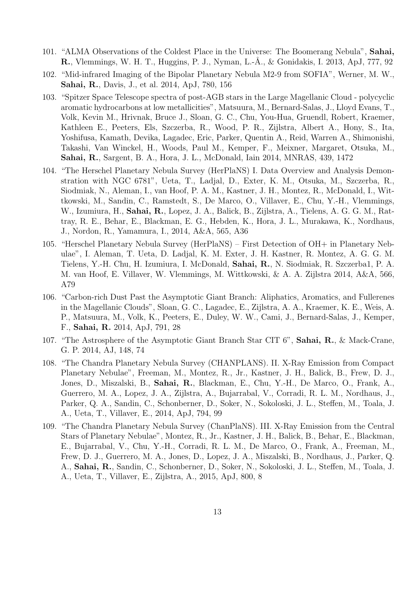- 101. "ALMA Observations of the Coldest Place in the Universe: The Boomerang Nebula", Sahai, R., Vlemmings, W. H. T., Huggins, P. J., Nyman, L.-Å., & Gonidakis, I. 2013, ApJ, 777, 92
- 102. "Mid-infrared Imaging of the Bipolar Planetary Nebula M2-9 from SOFIA", Werner, M. W., Sahai, R., Davis, J., et al. 2014, ApJ, 780, 156
- 103. "Spitzer Space Telescope spectra of post-AGB stars in the Large Magellanic Cloud polycyclic aromatic hydrocarbons at low metallicities", Matsuura, M., Bernard-Salas, J., Lloyd Evans, T., Volk, Kevin M., Hrivnak, Bruce J., Sloan, G. C., Chu, You-Hua, Gruendl, Robert, Kraemer, Kathleen E., Peeters, Els, Szczerba, R., Wood, P. R., Zijlstra, Albert A., Hony, S., Ita, Yoshifusa, Kamath, Devika, Lagadec, Eric, Parker, Quentin A., Reid, Warren A., Shimonishi, Takashi, Van Winckel, H., Woods, Paul M., Kemper, F., Meixner, Margaret, Otsuka, M., Sahai, R., Sargent, B. A., Hora, J. L., McDonald, Iain 2014, MNRAS, 439, 1472
- 104. "The Herschel Planetary Nebula Survey (HerPlaNS) I. Data Overview and Analysis Demonstration with NGC 6781", Ueta, T., Ladjal, D., Exter, K. M., Otsuka, M., Szczerba, R., Siodmiak, N., Aleman, I., van Hoof, P. A. M., Kastner, J. H., Montez, R., McDonald, I., Wittkowski, M., Sandin, C., Ramstedt, S., De Marco, O., Villaver, E., Chu, Y.-H., Vlemmings, W., Izumiura, H., Sahai, R., Lopez, J. A., Balick, B., Zijlstra, A., Tielens, A. G. G. M., Rattray, R. E., Behar, E., Blackman, E. G., Hebden, K., Hora, J. L., Murakawa, K., Nordhaus, J., Nordon, R., Yamamura, I., 2014, A&A, 565, A36
- 105. "Herschel Planetary Nebula Survey (HerPlaNS) First Detection of OH+ in Planetary Nebulae", I. Aleman, T. Ueta, D. Ladjal, K. M. Exter, J. H. Kastner, R. Montez, A. G. G. M. Tielens, Y.-H. Chu, H. Izumiura, I. McDonald, Sahai, R., N. Siodmiak, R. Szczerba1, P. A. M. van Hoof, E. Villaver, W. Vlemmings, M. Wittkowski, & A. A. Zijlstra 2014, A&A, 566, A79
- 106. "Carbon-rich Dust Past the Asymptotic Giant Branch: Aliphatics, Aromatics, and Fullerenes in the Magellanic Clouds", Sloan, G. C., Lagadec, E., Zijlstra, A. A., Kraemer, K. E., Weis, A. P., Matsuura, M., Volk, K., Peeters, E., Duley, W. W., Cami, J., Bernard-Salas, J., Kemper, F., Sahai, R. 2014, ApJ, 791, 28
- 107. "The Astrosphere of the Asymptotic Giant Branch Star CIT 6", Sahai, R., & Mack-Crane, G. P. 2014, AJ, 148, 74
- 108. "The Chandra Planetary Nebula Survey (CHANPLANS). II. X-Ray Emission from Compact Planetary Nebulae", Freeman, M., Montez, R., Jr., Kastner, J. H., Balick, B., Frew, D. J., Jones, D., Miszalski, B., Sahai, R., Blackman, E., Chu, Y.-H., De Marco, O., Frank, A., Guerrero, M. A., Lopez, J. A., Zijlstra, A., Bujarrabal, V., Corradi, R. L. M., Nordhaus, J., Parker, Q. A., Sandin, C., Schonberner, D., Soker, N., Sokoloski, J. L., Steffen, M., Toala, J. A., Ueta, T., Villaver, E., 2014, ApJ, 794, 99
- 109. "The Chandra Planetary Nebula Survey (ChanPlaNS). III. X-Ray Emission from the Central Stars of Planetary Nebulae", Montez, R., Jr., Kastner, J. H., Balick, B., Behar, E., Blackman, E., Bujarrabal, V., Chu, Y.-H., Corradi, R. L. M., De Marco, O., Frank, A., Freeman, M., Frew, D. J., Guerrero, M. A., Jones, D., Lopez, J. A., Miszalski, B., Nordhaus, J., Parker, Q. A., Sahai, R., Sandin, C., Schonberner, D., Soker, N., Sokoloski, J. L., Steffen, M., Toala, J. A., Ueta, T., Villaver, E., Zijlstra, A., 2015, ApJ, 800, 8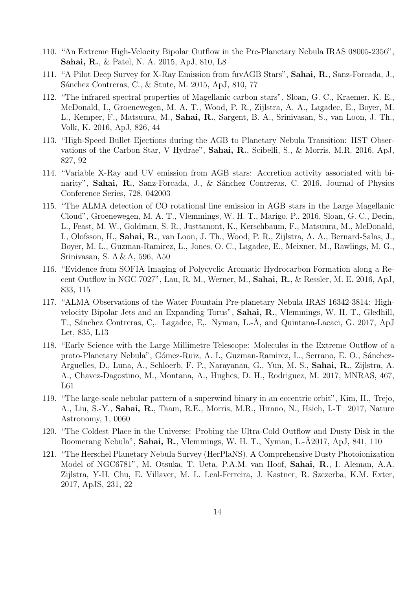- 110. "An Extreme High-Velocity Bipolar Outflow in the Pre-Planetary Nebula IRAS 08005-2356", Sahai, R., & Patel, N. A. 2015, ApJ, 810, L8
- 111. "A Pilot Deep Survey for X-Ray Emission from fuvAGB Stars", Sahai, R., Sanz-Forcada, J., Sánchez Contreras, C., & Stute, M. 2015, ApJ, 810, 77
- 112. "The infrared spectral properties of Magellanic carbon stars", Sloan, G. C., Kraemer, K. E., McDonald, I., Groenewegen, M. A. T., Wood, P. R., Zijlstra, A. A., Lagadec, E., Boyer, M. L., Kemper, F., Matsuura, M., Sahai, R., Sargent, B. A., Srinivasan, S., van Loon, J. Th., Volk, K. 2016, ApJ, 826, 44
- 113. "High-Speed Bullet Ejections during the AGB to Planetary Nebula Transition: HST Observations of the Carbon Star, V Hydrae", Sahai, R., Scibelli, S., & Morris, M.R. 2016, ApJ, 827, 92
- 114. "Variable X-Ray and UV emission from AGB stars: Accretion activity associated with binarity", Sahai, R., Sanz-Forcada, J., & Sánchez Contreras, C. 2016, Journal of Physics Conference Series, 728, 042003
- 115. "The ALMA detection of CO rotational line emission in AGB stars in the Large Magellanic Cloud", Groenewegen, M. A. T., Vlemmings, W. H. T., Marigo, P., 2016, Sloan, G. C., Decin, L., Feast, M. W., Goldman, S. R., Justtanont, K., Kerschbaum, F., Matsuura, M., McDonald, I., Olofsson, H., Sahai, R., van Loon, J. Th., Wood, P. R., Zijlstra, A. A., Bernard-Salas, J., Boyer, M. L., Guzman-Ramirez, L., Jones, O. C., Lagadec, E., Meixner, M., Rawlings, M. G., Srinivasan, S. A & A, 596, A50
- 116. "Evidence from SOFIA Imaging of Polycyclic Aromatic Hydrocarbon Formation along a Recent Outflow in NGC 7027", Lau, R. M., Werner, M., Sahai, R., & Ressler, M. E. 2016, ApJ, 833, 115
- 117. "ALMA Observations of the Water Fountain Pre-planetary Nebula IRAS 16342-3814: Highvelocity Bipolar Jets and an Expanding Torus", Sahai, R., Vlemmings, W. H. T., Gledhill, T., Sánchez Contreras, C.. Lagadec, E.. Nyman, L.-Å, and Quintana-Lacaci, G. 2017, ApJ Let, 835, L13
- 118. "Early Science with the Large Millimetre Telescope: Molecules in the Extreme Outflow of a proto-Planetary Nebula", Gómez-Ruiz, A. I., Guzman-Ramirez, L., Serrano, E. O., Sánchez-Arguelles, D., Luna, A., Schloerb, F. P., Narayanan, G., Yun, M. S., Sahai, R., Zijlstra, A. A., Chavez-Dagostino, M., Montana, A., Hughes, D. H., Rodriguez, M. 2017, MNRAS, 467, L61
- 119. "The large-scale nebular pattern of a superwind binary in an eccentric orbit", Kim, H., Trejo, A., Liu, S.-Y., Sahai, R., Taam, R.E., Morris, M.R., Hirano, N., Hsieh, I.-T 2017, Nature Astronomy, 1, 0060
- 120. "The Coldest Place in the Universe: Probing the Ultra-Cold Outflow and Dusty Disk in the Boomerang Nebula", Sahai, R., Vlemmings, W. H. T., Nyman, L.-Å2017, ApJ, 841, 110
- 121. "The Herschel Planetary Nebula Survey (HerPlaNS). A Comprehensive Dusty Photoionization Model of NGC6781", M. Otsuka, T. Ueta, P.A.M. van Hoof, Sahai, R., I. Aleman, A.A. Zijlstra, Y-H. Chu, E. Villaver, M. L. Leal-Ferreira, J. Kastner, R. Szczerba, K.M. Exter, 2017, ApJS, 231, 22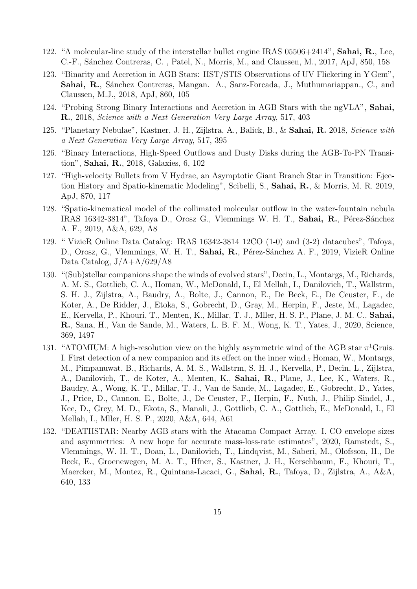- 122. "A molecular-line study of the interstellar bullet engine IRAS  $05506+2414$ ", **Sahai, R.**, Lee, C.-F., Sánchez Contreras, C., Patel, N., Morris, M., and Claussen, M., 2017, ApJ, 850, 158
- 123. "Binarity and Accretion in AGB Stars: HST/STIS Observations of UV Flickering in Y Gem", Sahai, R., Sánchez Contreras, Mangan. A., Sanz-Forcada, J., Muthumariappan., C., and Claussen, M.J., 2018, ApJ, 860, 105
- 124. "Probing Strong Binary Interactions and Accretion in AGB Stars with the ngVLA", Sahai, R., 2018, Science with a Next Generation Very Large Array, 517, 403
- 125. "Planetary Nebulae", Kastner, J. H., Zijlstra, A., Balick, B., & Sahai, R. 2018, Science with a Next Generation Very Large Array, 517, 395
- 126. "Binary Interactions, High-Speed Outflows and Dusty Disks during the AGB-To-PN Transition", Sahai, R., 2018, Galaxies, 6, 102
- 127. "High-velocity Bullets from V Hydrae, an Asymptotic Giant Branch Star in Transition: Ejection History and Spatio-kinematic Modeling", Scibelli, S., Sahai, R., & Morris, M. R. 2019, ApJ, 870, 117
- 128. "Spatio-kinematical model of the collimated molecular outflow in the water-fountain nebula IRAS 16342-3814", Tafoya D., Orosz G., Vlemmings W. H. T., Sahai, R., Pérez-Sánchez A. F., 2019, A&A, 629, A8
- 129. " VizieR Online Data Catalog: IRAS 16342-3814 12CO (1-0) and (3-2) datacubes", Tafoya, D., Orosz, G., Vlemmings, W. H. T., Sahai, R., Pérez-Sánchez A. F., 2019, VizieR Online Data Catalog, J/A+A/629/A8
- 130. "(Sub)stellar companions shape the winds of evolved stars", Decin, L., Montargs, M., Richards, A. M. S., Gottlieb, C. A., Homan, W., McDonald, I., El Mellah, I., Danilovich, T., Wallstrm, S. H. J., Zijlstra, A., Baudry, A., Bolte, J., Cannon, E., De Beck, E., De Ceuster, F., de Koter, A., De Ridder, J., Etoka, S., Gobrecht, D., Gray, M., Herpin, F., Jeste, M., Lagadec, E., Kervella, P., Khouri, T., Menten, K., Millar, T. J., Mller, H. S. P., Plane, J. M. C., Sahai, R., Sana, H., Van de Sande, M., Waters, L. B. F. M., Wong, K. T., Yates, J., 2020, Science, 369, 1497
- 131. "ATOMIUM: A high-resolution view on the highly asymmetric wind of the AGB star  $\pi^1$ Gruis. I. First detection of a new companion and its effect on the inner wind.; Homan, W., Montargs, M., Pimpanuwat, B., Richards, A. M. S., Wallstrm, S. H. J., Kervella, P., Decin, L., Zijlstra, A., Danilovich, T., de Koter, A., Menten, K., Sahai, R., Plane, J., Lee, K., Waters, R., Baudry, A., Wong, K. T., Millar, T. J., Van de Sande, M., Lagadec, E., Gobrecht, D., Yates, J., Price, D., Cannon, E., Bolte, J., De Ceuster, F., Herpin, F., Nuth, J., Philip Sindel, J., Kee, D., Grey, M. D., Ekota, S., Manali, J., Gottlieb, C. A., Gottlieb, E., McDonald, I., El Mellah, I., Mller, H. S. P., 2020, A&A, 644, A61
- 132. "DEATHSTAR: Nearby AGB stars with the Atacama Compact Array. I. CO envelope sizes and asymmetries: A new hope for accurate mass-loss-rate estimates", 2020, Ramstedt, S., Vlemmings, W. H. T., Doan, L., Danilovich, T., Lindqvist, M., Saberi, M., Olofsson, H., De Beck, E., Groenewegen, M. A. T., Hfner, S., Kastner, J. H., Kerschbaum, F., Khouri, T., Maercker, M., Montez, R., Quintana-Lacaci, G., Sahai, R., Tafoya, D., Zijlstra, A., A&A, 640, 133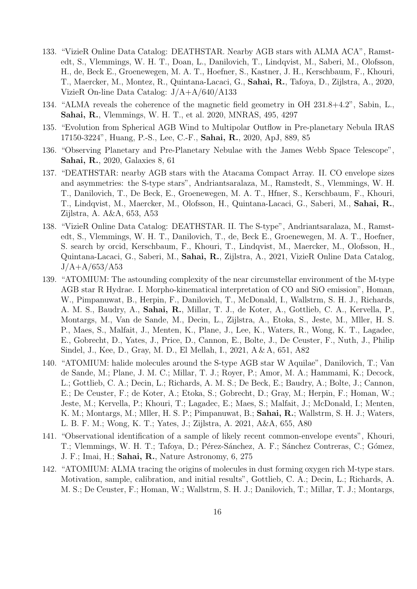- 133. "VizieR Online Data Catalog: DEATHSTAR. Nearby AGB stars with ALMA ACA", Ramstedt, S., Vlemmings, W. H. T., Doan, L., Danilovich, T., Lindqvist, M., Saberi, M., Olofsson, H., de, Beck E., Groenewegen, M. A. T., Hoefner, S., Kastner, J. H., Kerschbaum, F., Khouri, T., Maercker, M., Montez, R., Quintana-Lacaci, G., Sahai, R., Tafoya, D., Zijlstra, A., 2020, VizieR On-line Data Catalog: J/A+A/640/A133
- 134. "ALMA reveals the coherence of the magnetic field geometry in OH 231.8+4.2", Sabin, L., Sahai, R., Vlemmings, W. H. T., et al. 2020, MNRAS, 495, 4297
- 135. "Evolution from Spherical AGB Wind to Multipolar Outflow in Pre-planetary Nebula IRAS 17150-3224", Huang, P.-S., Lee, C.-F., Sahai, R., 2020, ApJ, 889, 85
- 136. "Observing Planetary and Pre-Planetary Nebulae with the James Webb Space Telescope", Sahai, R., 2020, Galaxies 8, 61
- 137. "DEATHSTAR: nearby AGB stars with the Atacama Compact Array. II. CO envelope sizes and asymmetries: the S-type stars", Andriantsaralaza, M., Ramstedt, S., Vlemmings, W. H. T., Danilovich, T., De Beck, E., Groenewegen, M. A. T., Hfner, S., Kerschbaum, F., Khouri, T., Lindqvist, M., Maercker, M., Olofsson, H., Quintana-Lacaci, G., Saberi, M., Sahai, R., Zijlstra, A. A&A, 653, A53
- 138. "VizieR Online Data Catalog: DEATHSTAR. II. The S-type", Andriantsaralaza, M., Ramstedt, S., Vlemmings, W. H. T., Danilovich, T., de, Beck E., Groenewegen, M. A. T., Hoefner, S. search by orcid, Kerschbaum, F., Khouri, T., Lindqvist, M., Maercker, M., Olofsson, H., Quintana-Lacaci, G., Saberi, M., Sahai, R., Zijlstra, A., 2021, VizieR Online Data Catalog,  $J/A + A/653/A53$
- 139. "ATOMIUM: The astounding complexity of the near circumstellar environment of the M-type AGB star R Hydrae. I. Morpho-kinematical interpretation of CO and SiO emission", Homan, W., Pimpanuwat, B., Herpin, F., Danilovich, T., McDonald, I., Wallstrm, S. H. J., Richards, A. M. S., Baudry, A., Sahai, R., Millar, T. J., de Koter, A., Gottlieb, C. A., Kervella, P., Montargs, M., Van de Sande, M., Decin, L., Zijlstra, A., Etoka, S., Jeste, M., Mller, H. S. P., Maes, S., Malfait, J., Menten, K., Plane, J., Lee, K., Waters, R., Wong, K. T., Lagadec, E., Gobrecht, D., Yates, J., Price, D., Cannon, E., Bolte, J., De Ceuster, F., Nuth, J., Philip Sindel, J., Kee, D., Gray, M. D., El Mellah, I., 2021, A & A, 651, A82
- 140. "ATOMIUM: halide molecules around the S-type AGB star W Aquilae", Danilovich, T.; Van de Sande, M.; Plane, J. M. C.; Millar, T. J.; Royer, P.; Amor, M. A.; Hammami, K.; Decock, L.; Gottlieb, C. A.; Decin, L.; Richards, A. M. S.; De Beck, E.; Baudry, A.; Bolte, J.; Cannon, E.; De Ceuster, F.; de Koter, A.; Etoka, S.; Gobrecht, D.; Gray, M.; Herpin, F.; Homan, W.; Jeste, M.; Kervella, P.; Khouri, T.; Lagadec, E.; Maes, S.; Malfait, J.; McDonald, I.; Menten, K. M.; Montargs, M.; Mller, H. S. P.; Pimpanuwat, B.; Sahai, R.; Wallstrm, S. H. J.; Waters, L. B. F. M.; Wong, K. T.; Yates, J.; Zijlstra, A. 2021, A&A, 655, A80
- 141. "Observational identification of a sample of likely recent common-envelope events", Khouri, T.; Vlemmings, W. H. T.; Tafoya, D.; Pérez-Sánchez, A. F.; Sánchez Contreras, C.; Gómez, J. F.; Imai, H.; Sahai, R., Nature Astronomy, 6, 275
- 142. "ATOMIUM: ALMA tracing the origins of molecules in dust forming oxygen rich M-type stars. Motivation, sample, calibration, and initial results", Gottlieb, C. A.; Decin, L.; Richards, A. M. S.; De Ceuster, F.; Homan, W.; Wallstrm, S. H. J.; Danilovich, T.; Millar, T. J.; Montargs,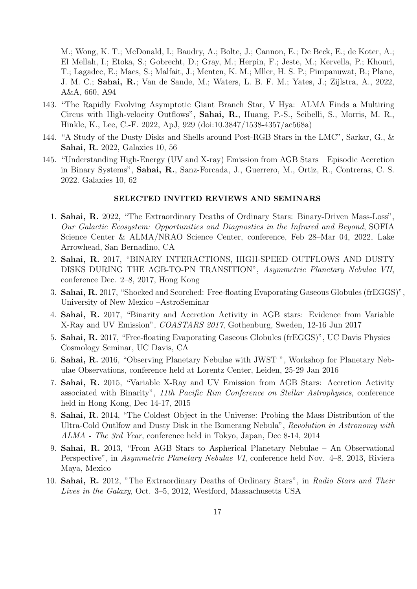M.; Wong, K. T.; McDonald, I.; Baudry, A.; Bolte, J.; Cannon, E.; De Beck, E.; de Koter, A.; El Mellah, I.; Etoka, S.; Gobrecht, D.; Gray, M.; Herpin, F.; Jeste, M.; Kervella, P.; Khouri, T.; Lagadec, E.; Maes, S.; Malfait, J.; Menten, K. M.; Mller, H. S. P.; Pimpanuwat, B.; Plane, J. M. C.; Sahai, R.; Van de Sande, M.; Waters, L. B. F. M.; Yates, J.; Zijlstra, A., 2022, A&A, 660, A94

- 143. "The Rapidly Evolving Asymptotic Giant Branch Star, V Hya: ALMA Finds a Multiring Circus with High-velocity Outflows", Sahai, R., Huang, P.-S., Scibelli, S., Morris, M. R., Hinkle, K., Lee, C.-F. 2022, ApJ, 929 (doi:10.3847/1538-4357/ac568a)
- 144. "A Study of the Dusty Disks and Shells around Post-RGB Stars in the LMC", Sarkar, G., & Sahai, R. 2022, Galaxies 10, 56
- 145. "Understanding High-Energy (UV and X-ray) Emission from AGB Stars Episodic Accretion in Binary Systems", Sahai, R., Sanz-Forcada, J., Guerrero, M., Ortiz, R., Contreras, C. S. 2022. Galaxies 10, 62

### SELECTED INVITED REVIEWS AND SEMINARS

- 1. Sahai, R. 2022, "The Extraordinary Deaths of Ordinary Stars: Binary-Driven Mass-Loss", Our Galactic Ecosystem: Opportunities and Diagnostics in the Infrared and Beyond, SOFIA Science Center & ALMA/NRAO Science Center, conference, Feb 28–Mar 04, 2022, Lake Arrowhead, San Bernadino, CA
- 2. Sahai, R. 2017, "BINARY INTERACTIONS, HIGH-SPEED OUTFLOWS AND DUSTY DISKS DURING THE AGB-TO-PN TRANSITION", Asymmetric Planetary Nebulae VII, conference Dec. 2–8, 2017, Hong Kong
- 3. Sahai, R. 2017, "Shocked and Scorched: Free-floating Evaporating Gaseous Globules (frEGGS)", University of New Mexico –AstroSeminar
- 4. Sahai, R. 2017, "Binarity and Accretion Activity in AGB stars: Evidence from Variable X-Ray and UV Emission", COASTARS 2017, Gothenburg, Sweden, 12-16 Jun 2017
- 5. Sahai, R. 2017, "Free-floating Evaporating Gaseous Globules (frEGGS)", UC Davis Physics– Cosmology Seminar, UC Davis, CA
- 6. Sahai, R. 2016, "Observing Planetary Nebulae with JWST ", Workshop for Planetary Nebulae Observations, conference held at Lorentz Center, Leiden, 25-29 Jan 2016
- 7. Sahai, R. 2015, "Variable X-Ray and UV Emission from AGB Stars: Accretion Activity associated with Binarity", 11th Pacific Rim Conference on Stellar Astrophysics, conference held in Hong Kong, Dec 14-17, 2015
- 8. Sahai, R. 2014, "The Coldest Object in the Universe: Probing the Mass Distribution of the Ultra-Cold Outlfow and Dusty Disk in the Bomerang Nebula", Revolution in Astronomy with ALMA - The 3rd Year, conference held in Tokyo, Japan, Dec 8-14, 2014
- 9. Sahai, R. 2013, "From AGB Stars to Aspherical Planetary Nebulae An Observational Perspective", in Asymmetric Planetary Nebulae VI, conference held Nov. 4–8, 2013, Riviera Maya, Mexico
- 10. Sahai, R. 2012, "The Extraordinary Deaths of Ordinary Stars", in Radio Stars and Their Lives in the Galaxy, Oct. 3–5, 2012, Westford, Massachusetts USA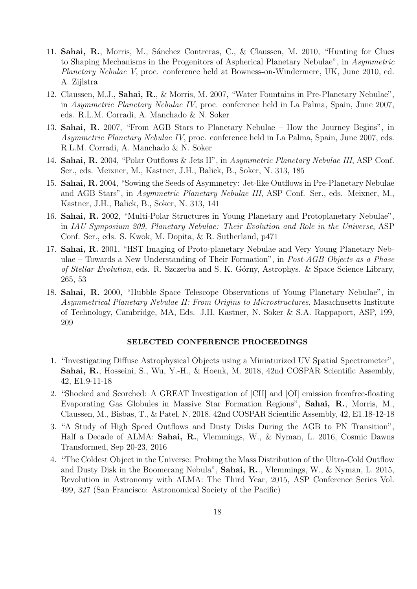- 11. Sahai, R., Morris, M., Sánchez Contreras, C., & Claussen, M. 2010, "Hunting for Clues to Shaping Mechanisms in the Progenitors of Aspherical Planetary Nebulae", in Asymmetric Planetary Nebulae V, proc. conference held at Bowness-on-Windermere, UK, June 2010, ed. A. Zijlstra
- 12. Claussen, M.J., Sahai, R., & Morris, M. 2007, "Water Fountains in Pre-Planetary Nebulae", in Asymmetric Planetary Nebulae IV, proc. conference held in La Palma, Spain, June 2007, eds. R.L.M. Corradi, A. Manchado & N. Soker
- 13. Sahai, R. 2007, "From AGB Stars to Planetary Nebulae How the Journey Begins", in Asymmetric Planetary Nebulae IV, proc. conference held in La Palma, Spain, June 2007, eds. R.L.M. Corradi, A. Manchado & N. Soker
- 14. Sahai, R. 2004, "Polar Outflows & Jets II", in Asymmetric Planetary Nebulae III, ASP Conf. Ser., eds. Meixner, M., Kastner, J.H., Balick, B., Soker, N. 313, 185
- 15. Sahai, R. 2004, "Sowing the Seeds of Asymmetry: Jet-like Outflows in Pre-Planetary Nebulae and AGB Stars", in Asymmetric Planetary Nebulae III, ASP Conf. Ser., eds. Meixner, M., Kastner, J.H., Balick, B., Soker, N. 313, 141
- 16. Sahai, R. 2002, "Multi-Polar Structures in Young Planetary and Protoplanetary Nebulae", in IAU Symposium 209, Planetary Nebulae: Their Evolution and Role in the Universe, ASP Conf. Ser., eds. S. Kwok, M. Dopita, & R. Sutherland, p471
- 17. Sahai, R. 2001, "HST Imaging of Proto-planetary Nebulae and Very Young Planetary Nebulae – Towards a New Understanding of Their Formation", in Post-AGB Objects as a Phase of Stellar Evolution, eds. R. Szczerba and S. K. Górny, Astrophys. & Space Science Library, 265, 53
- 18. Sahai, R. 2000, "Hubble Space Telescope Observations of Young Planetary Nebulae", in Asymmetrical Planetary Nebulae II: From Origins to Microstructures, Masachusetts Institute of Technology, Cambridge, MA, Eds. J.H. Kastner, N. Soker & S.A. Rappaport, ASP, 199, 209

# SELECTED CONFERENCE PROCEEDINGS

- 1. "Investigating Diffuse Astrophysical Objects using a Miniaturized UV Spatial Spectrometer", Sahai, R., Hosseini, S., Wu, Y.-H., & Hoenk, M. 2018, 42nd COSPAR Scientific Assembly, 42, E1.9-11-18
- 2. "Shocked and Scorched: A GREAT Investigation of [CII] and [OI] emission fromfree-floating Evaporating Gas Globules in Massive Star Formation Regions", Sahai, R., Morris, M., Claussen, M., Bisbas, T., & Patel, N. 2018, 42nd COSPAR Scientific Assembly, 42, E1.18-12-18
- 3. "A Study of High Speed Outflows and Dusty Disks During the AGB to PN Transition", Half a Decade of ALMA: Sahai, R., Vlemmings, W., & Nyman, L. 2016, Cosmic Dawns Transformed, Sep 20-23, 2016
- 4. "The Coldest Object in the Universe: Probing the Mass Distribution of the Ultra-Cold Outflow and Dusty Disk in the Boomerang Nebula", Sahai, R.., Vlemmings, W., & Nyman, L. 2015, Revolution in Astronomy with ALMA: The Third Year, 2015, ASP Conference Series Vol. 499, 327 (San Francisco: Astronomical Society of the Pacific)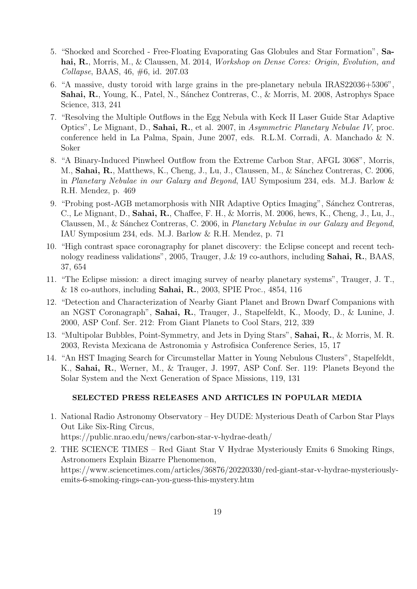- 5. "Shocked and Scorched Free-Floating Evaporating Gas Globules and Star Formation", Sahai, R., Morris, M., & Claussen, M. 2014, *Workshop on Dense Cores: Origin, Evolution, and* Collapse, BAAS, 46, #6, id. 207.03
- 6. "A massive, dusty toroid with large grains in the pre-planetary nebula IRAS22036+5306", Sahai, R., Young, K., Patel, N., Sánchez Contreras, C., & Morris, M. 2008, Astrophys Space Science, 313, 241
- 7. "Resolving the Multiple Outflows in the Egg Nebula with Keck II Laser Guide Star Adaptive Optics", Le Mignant, D., Sahai, R., et al. 2007, in Asymmetric Planetary Nebulae IV, proc. conference held in La Palma, Spain, June 2007, eds. R.L.M. Corradi, A. Manchado & N. Soker
- 8. "A Binary-Induced Pinwheel Outflow from the Extreme Carbon Star, AFGL 3068", Morris, M., Sahai, R., Matthews, K., Cheng, J., Lu, J., Claussen, M., & Sánchez Contreras, C. 2006, in Planetary Nebulae in our Galaxy and Beyond, IAU Symposium 234, eds. M.J. Barlow & R.H. Mendez, p. 469
- 9. "Probing post-AGB metamorphosis with NIR Adaptive Optics Imaging", Sánchez Contreras, C., Le Mignant, D., Sahai, R., Chaffee, F. H., & Morris, M. 2006, hews, K., Cheng, J., Lu, J., Claussen, M., & Sánchez Contreras, C. 2006, in Planetary Nebulae in our Galaxy and Beyond, IAU Symposium 234, eds. M.J. Barlow & R.H. Mendez, p. 71
- 10. "High contrast space coronagraphy for planet discovery: the Eclipse concept and recent technology readiness validations", 2005, Trauger, J.& 19 co-authors, including Sahai, R., BAAS, 37, 654
- 11. "The Eclipse mission: a direct imaging survey of nearby planetary systems", Trauger, J. T., & 18 co-authors, including Sahai, R., 2003, SPIE Proc., 4854, 116
- 12. "Detection and Characterization of Nearby Giant Planet and Brown Dwarf Companions with an NGST Coronagraph", Sahai, R., Trauger, J., Stapelfeldt, K., Moody, D., & Lunine, J. 2000, ASP Conf. Ser. 212: From Giant Planets to Cool Stars, 212, 339
- 13. "Multipolar Bubbles, Point-Symmetry, and Jets in Dying Stars", Sahai, R., & Morris, M. R. 2003, Revista Mexicana de Astronomia y Astrofisica Conference Series, 15, 17
- 14. "An HST Imaging Search for Circumstellar Matter in Young Nebulous Clusters", Stapelfeldt, K., Sahai, R., Werner, M., & Trauger, J. 1997, ASP Conf. Ser. 119: Planets Beyond the Solar System and the Next Generation of Space Missions, 119, 131

# SELECTED PRESS RELEASES AND ARTICLES IN POPULAR MEDIA

- 1. National Radio Astronomy Observatory Hey DUDE: Mysterious Death of Carbon Star Plays Out Like Six-Ring Circus, https://public.nrao.edu/news/carbon-star-v-hydrae-death/
- 2. THE SCIENCE TIMES Red Giant Star V Hydrae Mysteriously Emits 6 Smoking Rings, Astronomers Explain Bizarre Phenomenon, https://www.sciencetimes.com/articles/36876/20220330/red-giant-star-v-hydrae-mysteriouslyemits-6-smoking-rings-can-you-guess-this-mystery.htm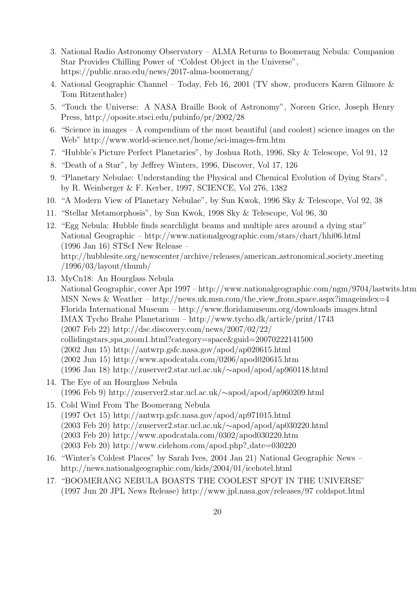- 3. National Radio Astronomy Observatory ALMA Returns to Boomerang Nebula: Companion Star Provides Chilling Power of "Coldest Object in the Universe", https://public.nrao.edu/news/2017-alma-boomerang/
- 4. National Geographic Channel Today, Feb 16, 2001 (TV show, producers Karen Gilmore & Tom Ritzenthaler)
- 5. "Touch the Universe: A NASA Braille Book of Astronomy", Noreen Grice, Joseph Henry Press, http://oposite.stsci.edu/pubinfo/pr/2002/28
- 6. "Science in images A compendium of the most beautiful (and coolest) science images on the Web" http://www.world-science.net/home/sci-images-frm.htm
- 7. "Hubble's Picture Perfect Planetaries", by Joshua Roth, 1996, Sky & Telescope, Vol 91, 12
- 8. "Death of a Star", by Jeffrey Winters, 1996, Discover, Vol 17, 126
- 9. "Planetary Nebulae: Understanding the Physical and Chemical Evolution of Dying Stars", by R. Weinberger & F. Kerber, 1997, SCIENCE, Vol 276, 1382
- 10. "A Modern View of Planetary Nebulae", by Sun Kwok, 1996 Sky & Telescope, Vol 92, 38
- 11. "Stellar Metamorphosis", by Sun Kwok, 1998 Sky & Telescope, Vol 96, 30
- 12. "Egg Nebula: Hubble finds searchlight beams and multiple arcs around a dying star" National Geographic – http://www.nationalgeographic.com/stars/chart/hhi06.html (1996 Jan 16) STScI New Release – http://hubblesite.org/newscenter/archive/releases/american astronomical society meeting /1996/03/layout/thumb/
- 13. MyCn18: An Hourglass Nebula National Geographic, cover Apr 1997 – http://www.nationalgeographic.com/ngm/9704/lastwits.html MSN News & Weather – http://news.uk.msn.com/the view from space.aspx?imageindex=4 Florida International Museum – http://www.floridamuseum.org/downloads images.html IMAX Tycho Brahe Planetarium – http://www.tycho.dk/article/print/1743 (2007 Feb 22) http://dsc.discovery.com/news/2007/02/22/ collidingstars spa zoom1.html?category=space&guid=20070222141500 (2002 Jun 15) http://antwrp.gsfc.nasa.gov/apod/ap020615.html (2002 Jun 15) http://www.apodcatala.com/0206/apod020615.htm (1996 Jan 18) http://zuserver2.star.ucl.ac.uk/∼apod/apod/ap960118.html
- 14. The Eye of an Hourglass Nebula (1996 Feb 9) http://zuserver2.star.ucl.ac.uk/∼apod/apod/ap960209.html
- 15. Cold Wind From The Boomerang Nebula (1997 Oct 15) http://antwrp.gsfc.nasa.gov/apod/ap971015.html (2003 Feb 20) http://zuserver2.star.ucl.ac.uk/∼apod/apod/ap030220.html (2003 Feb 20) http://www.apodcatala.com/0302/apod030220.htm  $(2003 \text{ Feb } 20) \text{ http://www.cidehom.com/apod.php?_date=030220$
- 16. "Winter's Coldest Places" by Sarah Ives, 2004 Jan 21) National Geographic News http://news.nationalgeographic.com/kids/2004/01/icehotel.html
- 17. "BOOMERANG NEBULA BOASTS THE COOLEST SPOT IN THE UNIVERSE" (1997 Jun 20 JPL News Release) http://www.jpl.nasa.gov/releases/97 coldspot.html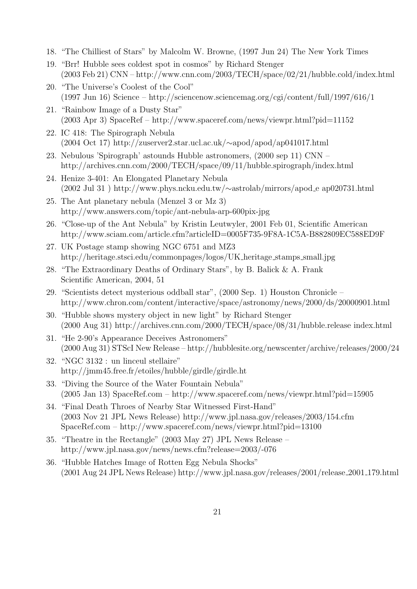- 18. "The Chilliest of Stars" by Malcolm W. Browne, (1997 Jun 24) The New York Times
- 19. "Brr! Hubble sees coldest spot in cosmos" by Richard Stenger (2003 Feb 21) CNN – http://www.cnn.com/2003/TECH/space/02/21/hubble.cold/index.html
- 20. "The Universe's Coolest of the Cool" (1997 Jun 16) Science – http://sciencenow.sciencemag.org/cgi/content/full/1997/616/1
- 21. "Rainbow Image of a Dusty Star" (2003 Apr 3) SpaceRef – http://www.spaceref.com/news/viewpr.html?pid=11152
- 22. IC 418: The Spirograph Nebula (2004 Oct 17) http://zuserver2.star.ucl.ac.uk/∼apod/apod/ap041017.html
- 23. Nebulous 'Spirograph' astounds Hubble astronomers, (2000 sep 11) CNN http://archives.cnn.com/2000/TECH/space/09/11/hubble.spirograph/index.html
- 24. Henize 3-401: An Elongated Planetary Nebula (2002 Jul 31 ) http://www.phys.ncku.edu.tw/∼astrolab/mirrors/apod e ap020731.html
- 25. The Ant planetary nebula (Menzel 3 or Mz 3) http://www.answers.com/topic/ant-nebula-arp-600pix-jpg
- 26. "Close-up of the Ant Nebula" by Kristin Leutwyler, 2001 Feb 01, Scientific American http://www.sciam.com/article.cfm?articleID=0005F735-9F8A-1C5A-B882809EC588ED9F
- 27. UK Postage stamp showing NGC 6751 and MZ3 http://heritage.stsci.edu/commonpages/logos/UK heritage stamps small.jpg
- 28. "The Extraordinary Deaths of Ordinary Stars", by B. Balick & A. Frank Scientific American, 2004, 51
- 29. "Scientists detect mysterious oddball star", (2000 Sep. 1) Houston Chronicle http://www.chron.com/content/interactive/space/astronomy/news/2000/ds/20000901.html
- 30. "Hubble shows mystery object in new light" by Richard Stenger (2000 Aug 31) http://archives.cnn.com/2000/TECH/space/08/31/hubble.release index.html
- 31. "He 2-90's Appearance Deceives Astronomers" (2000 Aug 31) STScI New Release – http://hubblesite.org/newscenter/archive/releases/2000/24
- 32. "NGC 3132 : un linceul stellaire" http://jmm45.free.fr/etoiles/hubble/girdle/girdle.ht
- 33. "Diving the Source of the Water Fountain Nebula" (2005 Jan 13) SpaceRef.com – http://www.spaceref.com/news/viewpr.html?pid=15905
- 34. "Final Death Throes of Nearby Star Witnessed First-Hand" (2003 Nov 21 JPL News Release) http://www.jpl.nasa.gov/releases/2003/154.cfm SpaceRef.com – http://www.spaceref.com/news/viewpr.html?pid=13100
- 35. "Theatre in the Rectangle" (2003 May 27) JPL News Release http://www.jpl.nasa.gov/news/news.cfm?release=2003/-076
- 36. "Hubble Hatches Image of Rotten Egg Nebula Shocks" (2001 Aug 24 JPL News Release) http://www.jpl.nasa.gov/releases/2001/release 2001 179.html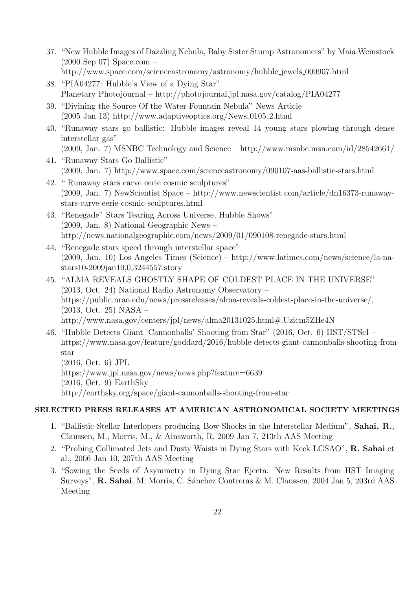- 37. "New Hubble Images of Dazzling Nebula, Baby Sister Stump Astronomers" by Maia Weinstock (2000 Sep 07) Space.com – http://www.space.com/scienceastronomy/astronomy/hubble jewels 000907.html
- 38. "PIA04277: Hubble's View of a Dying Star" Planetary Photojournal – http://photojournal.jpl.nasa.gov/catalog/PIA04277
- 39. "Divining the Source Of the Water-Fountain Nebula" News Article  $(2005 \text{ Jan } 13) \text{ http://www.addaptive optics.org/News_0105_2.html})$
- 40. "Runaway stars go ballistic: Hubble images reveal 14 young stars plowing through dense interstellar gas" (2009, Jan. 7) MSNBC Technology and Science – http://www.msnbc.msn.com/id/28542661/
- 41. "Runaway Stars Go Ballistic" (2009, Jan. 7) http://www.space.com/scienceastronomy/090107-aas-ballistic-stars.html
- 42. " Runaway stars carve eerie cosmic sculptures" (2009, Jan. 7) NewScientist Space – http://www.newscientist.com/article/dn16373-runawaystars-carve-eerie-cosmic-sculptures.html
- 43. "Renegade" Stars Tearing Across Universe, Hubble Shows" (2009, Jan. 8) National Geographic News – http://news.nationalgeographic.com/news/2009/01/090108-renegade-stars.html
- 44. "Renegade stars speed through interstellar space" (2009, Jan. 10) Los Angeles Times (Science) – http://www.latimes.com/news/science/la-nastars10-2009jan10,0,3244557.story
- 45. "ALMA REVEALS GHOSTLY SHAPE OF COLDEST PLACE IN THE UNIVERSE" (2013, Oct. 24) National Radio Astronomy Observatory – https://public.nrao.edu/news/pressreleases/alma-reveals-coldest-place-in-the-universe/, (2013, Oct. 25) NASA – http://www.nasa.gov/centers/jpl/news/alma20131025.html#.Uzicm5ZHe4N
- 46. "Hubble Detects Giant 'Cannonballs' Shooting from Star" (2016, Oct. 6) HST/STScI https://www.nasa.gov/feature/goddard/2016/hubble-detects-giant-cannonballs-shooting-fromstar

(2016, Oct. 6) JPL – https://www.jpl.nasa.gov/news/news.php?feature=6639  $(2016, \text{Oct. } 9)$  EarthSky – http://earthsky.org/space/giant-cannonballs-shooting-from-star

# SELECTED PRESS RELEASES AT AMERICAN ASTRONOMICAL SOCIETY MEETINGS

- 1. "Ballistic Stellar Interlopers producing Bow-Shocks in the Interstellar Medium", Sahai, R., Claussen, M., Morris, M., & Ainsworth, R. 2009 Jan 7, 213th AAS Meeting
- 2. "Probing Collimated Jets and Dusty Waists in Dying Stars with Keck LGSAO", R. Sahai et al., 2006 Jan 10, 207th AAS Meeting
- 3. "Sowing the Seeds of Asymmetry in Dying Star Ejecta: New Results from HST Imaging Surveys", R. Sahai, M. Morris, C. Sánchez Contreras & M. Claussen, 2004 Jan 5, 203rd AAS Meeting